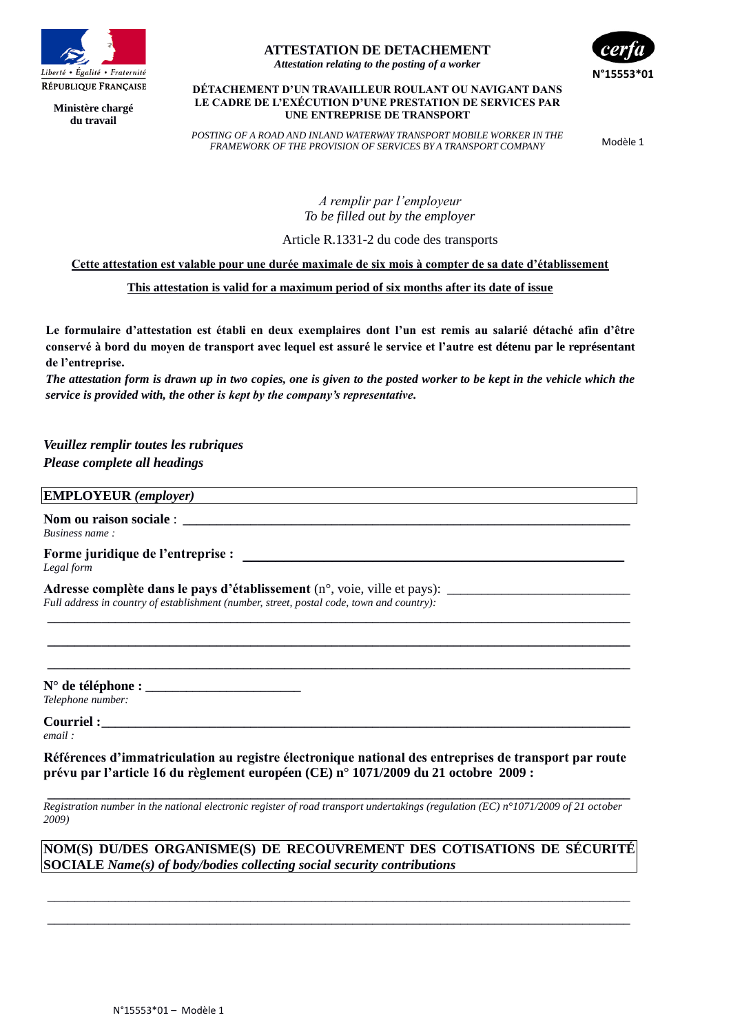

**Ministère chargé du travail**

## **ATTESTATION DE DETACHEMENT**

*Attestation relating to the posting of a worker*



#### **DÉTACHEMENT D'UN TRAVAILLEUR ROULANT OU NAVIGANT DANS LE CADRE DE L'EXÉCUTION D'UNE PRESTATION DE SERVICES PAR UNE ENTREPRISE DE TRANSPORT**

*POSTING OF A ROAD AND INLAND WATERWAY TRANSPORT MOBILE WORKER IN THE FRAMEWORK OF THE PROVISION OF SERVICES BY A TRANSPORT COMPANY* Modèle 1

*A remplir par l'employeur To be filled out by the employer*

Article R.1331-2 du code des transports

**Cette attestation est valable pour une durée maximale de six mois à compter de sa date d'établissement**

## **This attestation is valid for a maximum period of six months after its date of issue**

**Le formulaire d'attestation est établi en deux exemplaires dont l'un est remis au salarié détaché afin d'être conservé à bord du moyen de transport avec lequel est assuré le service et l'autre est détenu par le représentant de l'entreprise.**

*The attestation form is drawn up in two copies, one is given to the posted worker to be kept in the vehicle which the service is provided with, the other is kept by the company's representative.* 

*Veuillez remplir toutes les rubriques Please complete all headings*

#### **EMPLOYEUR** *(employer)*

Nom ou raison sociale : *Business name :*

**Forme juridique de l'entreprise : \_\_\_\_\_\_\_\_\_\_\_\_\_\_\_\_\_\_\_\_\_\_\_\_\_\_\_\_\_\_\_\_\_\_\_\_\_\_\_\_\_\_\_\_\_\_\_** *Legal form*

**Adresse complète dans le pays d'établissement** (n°, voie, ville et pays): \_ *Full address in country of establishment (number, street, postal code, town and country):*

**N° de téléphone : \_\_\_\_\_\_\_\_\_\_\_\_\_\_\_\_\_\_\_\_\_\_\_**

*Telephone number:*

**Courriel :\_\_\_\_\_\_\_\_\_\_\_\_\_\_\_\_\_\_\_\_\_\_\_\_\_\_\_\_\_\_\_\_\_\_\_\_\_\_\_\_\_\_\_\_\_\_\_\_\_\_\_\_\_\_\_\_\_\_\_\_\_\_\_\_\_\_\_\_\_\_\_\_\_\_\_\_\_\_**

*email :*

**Références d'immatriculation au registre électronique national des entreprises de transport par route prévu par l'article 16 du règlement européen (CE) n° 1071/2009 du 21 octobre 2009 :**

**\_\_\_\_\_\_\_\_\_\_\_\_\_\_\_\_\_\_\_\_\_\_\_\_\_\_\_\_\_\_\_\_\_\_\_\_\_\_\_\_\_\_\_\_\_\_\_\_\_\_\_\_\_\_\_\_\_\_\_\_\_\_\_\_\_\_\_\_\_\_\_\_\_\_\_\_\_\_\_\_\_\_\_\_\_\_ \_\_\_\_\_\_\_\_\_\_\_\_\_\_\_\_\_\_\_\_\_\_\_\_\_\_\_\_\_\_\_\_\_\_\_\_\_\_\_\_\_\_\_\_\_\_\_\_\_\_\_\_\_\_\_\_\_\_\_\_\_\_\_\_\_\_\_\_\_\_\_\_\_\_\_\_\_\_\_\_\_\_\_\_\_\_ \_\_\_\_\_\_\_\_\_\_\_\_\_\_\_\_\_\_\_\_\_\_\_\_\_\_\_\_\_\_\_\_\_\_\_\_\_\_\_\_\_\_\_\_\_\_\_\_\_\_\_\_\_\_\_\_\_\_\_\_\_\_\_\_\_\_\_\_\_\_\_\_\_\_\_\_\_\_\_\_\_\_\_\_\_\_**

**\_\_\_\_\_\_\_\_\_\_\_\_\_\_\_\_\_\_\_\_\_\_\_\_\_\_\_\_\_\_\_\_\_\_\_\_\_\_\_\_\_\_\_\_\_\_\_\_\_\_\_\_\_\_\_\_\_\_\_\_\_\_\_\_\_\_\_\_\_\_\_\_\_\_\_\_\_\_\_\_\_\_\_\_\_\_** *Registration number in the national electronic register of road transport undertakings (regulation (EC) n°1071/2009 of 21 october 2009)*

**NOM(S) DU/DES ORGANISME(S) DE RECOUVREMENT DES COTISATIONS DE SÉCURITÉ SOCIALE** *Name(s) of body/bodies collecting social security contributions*

\_\_\_\_\_\_\_\_\_\_\_\_\_\_\_\_\_\_\_\_\_\_\_\_\_\_\_\_\_\_\_\_\_\_\_\_\_\_\_\_\_\_\_\_\_\_\_\_\_\_\_\_\_\_\_\_\_\_\_\_\_\_\_\_\_\_\_\_\_\_\_\_\_\_\_\_\_\_\_\_\_\_\_\_\_\_ \_\_\_\_\_\_\_\_\_\_\_\_\_\_\_\_\_\_\_\_\_\_\_\_\_\_\_\_\_\_\_\_\_\_\_\_\_\_\_\_\_\_\_\_\_\_\_\_\_\_\_\_\_\_\_\_\_\_\_\_\_\_\_\_\_\_\_\_\_\_\_\_\_\_\_\_\_\_\_\_\_\_\_\_\_\_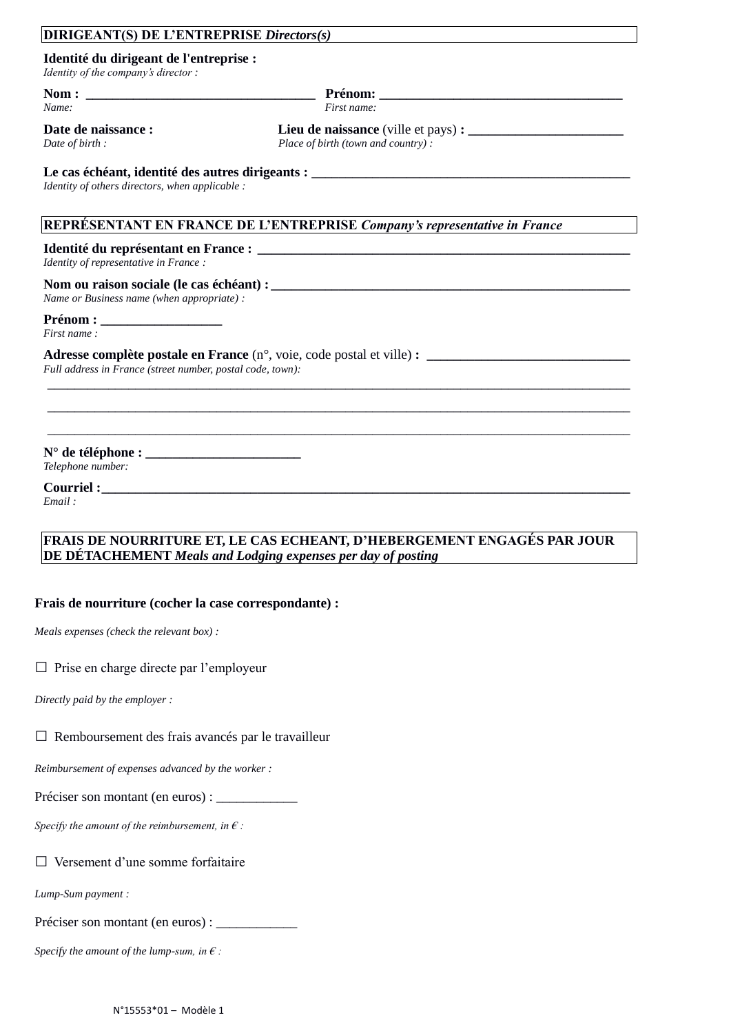# **DIRIGEANT(S) DE L'ENTREPRISE** *Directors(s)*

**Identité du dirigeant de l'entreprise :**

*Identity of the company's director :*

**Nom : \_\_\_\_\_\_\_\_\_\_\_\_\_\_\_\_\_\_\_\_\_\_\_\_\_\_\_\_\_\_\_\_\_\_ Prénom: \_\_\_\_\_\_\_\_\_\_\_\_\_\_\_\_\_\_\_\_\_\_\_\_\_\_\_\_\_\_\_\_\_\_\_\_**

*Name: First name:*

**Date de naissance : \_\_\_\_\_\_\_\_\_\_\_\_\_\_\_\_ Lieu de naissance** (ville et pays) **: \_\_\_\_\_\_\_\_\_\_\_\_\_\_\_\_\_\_\_\_\_\_\_** *Date of birth : Place of birth (town and country) :*

# **Le cas échéant, identité des autres dirigeants : \_\_\_\_\_\_\_\_\_\_\_\_\_\_\_\_\_\_\_\_\_\_\_\_\_\_\_\_\_\_\_\_\_\_\_\_\_\_\_\_\_\_\_\_\_\_\_**

*Identity of others directors, when applicable :*

## **REPRÉSENTANT EN FRANCE DE L'ENTREPRISE** *Company's representative in France*

## **Identité du représentant en France : \_\_\_\_\_\_\_\_\_\_\_\_\_\_\_\_\_\_\_\_\_\_\_\_\_\_\_\_\_\_\_\_\_\_\_\_\_\_\_\_\_\_\_\_\_\_\_\_\_\_\_\_\_\_\_**

*Identity of representative in France :*

## **Nom ou raison sociale (le cas échéant) : \_\_\_\_\_\_\_\_\_\_\_\_\_\_\_\_\_\_\_\_\_\_\_\_\_\_\_\_\_\_\_\_\_\_\_\_\_\_\_\_\_\_\_\_\_\_\_\_\_\_\_\_\_**

*Name or Business name (when appropriate) :*

# **Prénom** :

*First name :*

#### **Adresse complète postale en France** (n°, voie, code postal et ville) **: \_\_\_\_\_\_\_\_\_\_\_\_\_\_\_\_\_\_\_\_\_\_\_\_\_\_\_\_\_\_** *Full address in France (street number, postal code, town):*

**N° de téléphone : \_\_\_\_\_\_\_\_\_\_\_\_\_\_\_\_\_\_\_\_\_\_\_** *Telephone number:*

# **Courriel :\_\_\_\_\_\_\_\_\_\_\_\_\_\_\_\_\_\_\_\_\_\_\_\_\_\_\_\_\_\_\_\_\_\_\_\_\_\_\_\_\_\_\_\_\_\_\_\_\_\_\_\_\_\_\_\_\_\_\_\_\_\_\_\_\_\_\_\_\_\_\_\_\_\_\_\_\_\_**

*Email :*

# **FRAIS DE NOURRITURE ET, LE CAS ECHEANT, D'HEBERGEMENT ENGAGÉS PAR JOUR DE DÉTACHEMENT** *Meals and Lodging expenses per day of posting*

\_\_\_\_\_\_\_\_\_\_\_\_\_\_\_\_\_\_\_\_\_\_\_\_\_\_\_\_\_\_\_\_\_\_\_\_\_\_\_\_\_\_\_\_\_\_\_\_\_\_\_\_\_\_\_\_\_\_\_\_\_\_\_\_\_\_\_\_\_\_\_\_\_\_\_\_\_\_\_\_\_\_\_\_\_\_ \_\_\_\_\_\_\_\_\_\_\_\_\_\_\_\_\_\_\_\_\_\_\_\_\_\_\_\_\_\_\_\_\_\_\_\_\_\_\_\_\_\_\_\_\_\_\_\_\_\_\_\_\_\_\_\_\_\_\_\_\_\_\_\_\_\_\_\_\_\_\_\_\_\_\_\_\_\_\_\_\_\_\_\_\_\_ \_\_\_\_\_\_\_\_\_\_\_\_\_\_\_\_\_\_\_\_\_\_\_\_\_\_\_\_\_\_\_\_\_\_\_\_\_\_\_\_\_\_\_\_\_\_\_\_\_\_\_\_\_\_\_\_\_\_\_\_\_\_\_\_\_\_\_\_\_\_\_\_\_\_\_\_\_\_\_\_\_\_\_\_\_\_

## **Frais de nourriture (cocher la case correspondante) :**

*Meals expenses (check the relevant box) :*

## $\Box$  Prise en charge directe par l'employeur

*Directly paid by the employer :*

# $\square$  Remboursement des frais avancés par le travailleur

*Reimbursement of expenses advanced by the worker :*

Préciser son montant (en euros) :

*Specify the amount of the reimbursement, in € :*

# $\Box$  Versement d'une somme forfaitaire

*Lump-Sum payment :*

Préciser son montant (en euros) :

*Specify the amount of the lump-sum, in € :*

N°15553\*01 – Modèle 1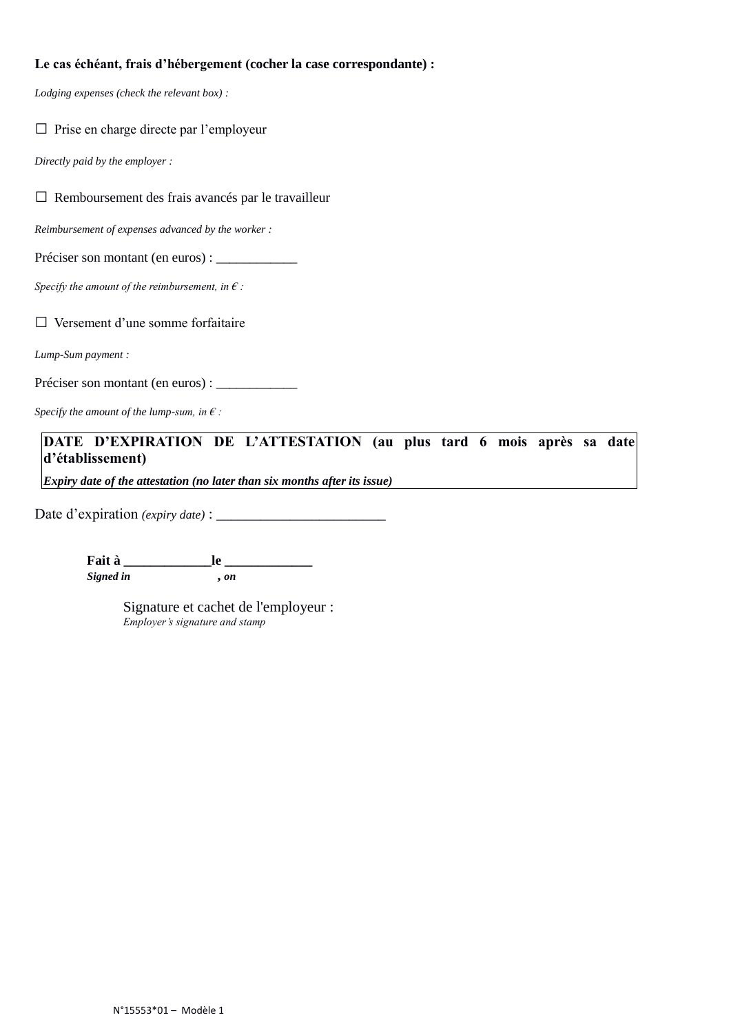# **Le cas échéant, frais d'hébergement (cocher la case correspondante) :**

*Lodging expenses (check the relevant box) :*

|  |  |  |  |  | $\Box$ Prise en charge directe par l'employeur |  |
|--|--|--|--|--|------------------------------------------------|--|
|--|--|--|--|--|------------------------------------------------|--|

*Directly paid by the employer :*

□ Remboursement des frais avancés par le travailleur

*Reimbursement of expenses advanced by the worker :*

Préciser son montant (en euros) : \_\_\_\_\_\_\_\_\_\_\_\_

*Specify the amount of the reimbursement, in € :*

□ Versement d'une somme forfaitaire

*Lump-Sum payment :*

Préciser son montant (en euros) :

*Specify the amount of the lump-sum, in € :*

**DATE D'EXPIRATION DE L'ATTESTATION (au plus tard 6 mois après sa date d'établissement)**

*Expiry date of the attestation (no later than six months after its issue)*

Date d'expiration *(expiry date)* : \_\_\_\_\_\_\_\_\_\_\_\_\_\_\_\_\_\_\_\_\_\_\_

**Fait à \_\_\_\_\_\_\_\_\_\_\_\_\_le \_\_\_\_\_\_\_\_\_\_\_\_\_** *Signed in* **,** *on*

> Signature et cachet de l'employeur : *Employer's signature and stamp*